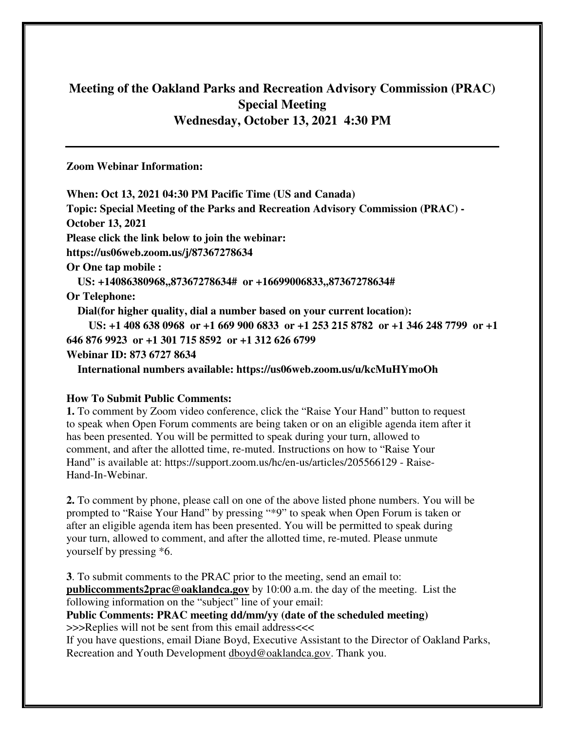# **Meeting of the Oakland Parks and Recreation Advisory Commission (PRAC) Special Meeting Wednesday, October 13, 2021 4:30 PM**

**Zoom Webinar Information:** 

**When: Oct 13, 2021 04:30 PM Pacific Time (US and Canada) Topic: Special Meeting of the Parks and Recreation Advisory Commission (PRAC) - October 13, 2021 Please click the link below to join the webinar: https://us06web.zoom.us/j/87367278634 Or One tap mobile : US: +14086380968,,87367278634# or +16699006833,,87367278634# Or Telephone: Dial(for higher quality, dial a number based on your current location): US: +1 408 638 0968 or +1 669 900 6833 or +1 253 215 8782 or +1 346 248 7799 or +1 646 876 9923 or +1 301 715 8592 or +1 312 626 6799 Webinar ID: 873 6727 8634 International numbers available: https://us06web.zoom.us/u/kcMuHYmoOh** 

#### **How To Submit Public Comments:**

**1.** To comment by Zoom video conference, click the "Raise Your Hand" button to request to speak when Open Forum comments are being taken or on an eligible agenda item after it has been presented. You will be permitted to speak during your turn, allowed to comment, and after the allotted time, re-muted. Instructions on how to "Raise Your Hand" is available at: https://support.zoom.us/hc/en-us/articles/205566129 - Raise-Hand-In-Webinar.

**2.** To comment by phone, please call on one of the above listed phone numbers. You will be prompted to "Raise Your Hand" by pressing "\*9" to speak when Open Forum is taken or after an eligible agenda item has been presented. You will be permitted to speak during your turn, allowed to comment, and after the allotted time, re-muted. Please unmute yourself by pressing \*6.

**3**. To submit comments to the PRAC prior to the meeting, send an email to: **publiccomments2prac@oaklandca.gov** by 10:00 a.m. the day of the meeting. List the following information on the "subject" line of your email:

**Public Comments: PRAC meeting dd/mm/yy (date of the scheduled meeting)** >>>Replies will not be sent from this email address<<<

If you have questions, email Diane Boyd, Executive Assistant to the Director of Oakland Parks, Recreation and Youth Development dboyd@oaklandca.gov. Thank you.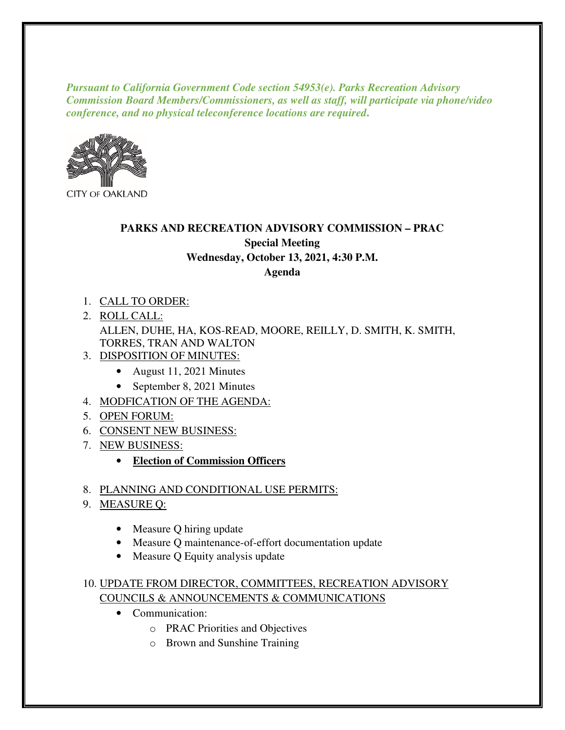*Pursuant to California Government Code section 54953(e). Parks Recreation Advisory Commission Board Members/Commissioners, as well as staff, will participate via phone/video conference, and no physical teleconference locations are required***.** 



**CITY OF OAKLAND** 

# **PARKS AND RECREATION ADVISORY COMMISSION – PRAC Special Meeting Wednesday, October 13, 2021, 4:30 P.M. Agenda**

- 1. CALL TO ORDER:
- 2. ROLL CALL: ALLEN, DUHE, HA, KOS-READ, MOORE, REILLY, D. SMITH, K. SMITH, TORRES, TRAN AND WALTON
- 3. DISPOSITION OF MINUTES:
	- August 11, 2021 Minutes
	- September 8, 2021 Minutes
- 4. MODFICATION OF THE AGENDA:
- 5. OPEN FORUM:
- 6. CONSENT NEW BUSINESS:
- 7. NEW BUSINESS:
	- **Election of Commission Officers**

## 8. PLANNING AND CONDITIONAL USE PERMITS:

- 9. MEASURE Q:
	- Measure Q hiring update
	- Measure Q maintenance-of-effort documentation update
	- Measure Q Equity analysis update

## 10. UPDATE FROM DIRECTOR, COMMITTEES, RECREATION ADVISORY COUNCILS & ANNOUNCEMENTS & COMMUNICATIONS

- Communication:
	- o PRAC Priorities and Objectives
	- o Brown and Sunshine Training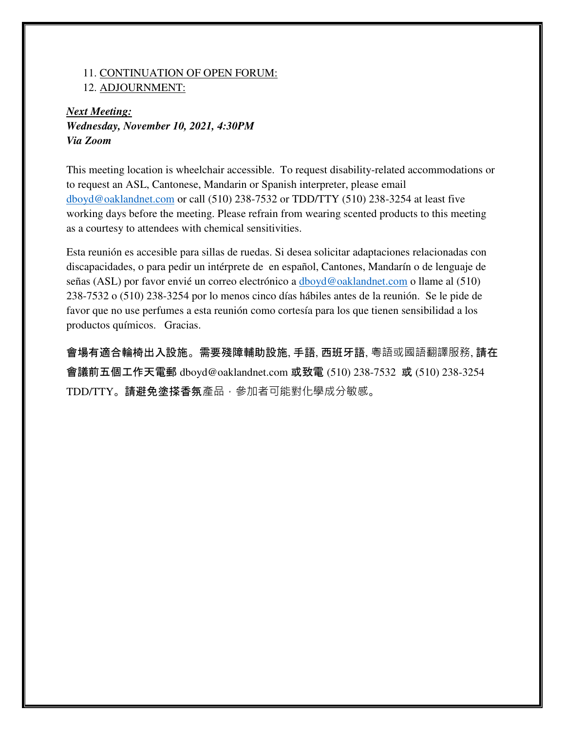#### 11. CONTINUATION OF OPEN FORUM:

12. ADJOURNMENT:

# *Next Meeting: Wednesday, November 10, 2021, 4:30PM Via Zoom*

This meeting location is wheelchair accessible. To request disability-related accommodations or to request an ASL, Cantonese, Mandarin or Spanish interpreter, please email dboyd@oaklandnet.com or call (510) 238-7532 or TDD/TTY (510) 238-3254 at least five working days before the meeting. Please refrain from wearing scented products to this meeting as a courtesy to attendees with chemical sensitivities.

Esta reunión es accesible para sillas de ruedas. Si desea solicitar adaptaciones relacionadas con discapacidades, o para pedir un intérprete de en español, Cantones, Mandarín o de lenguaje de señas (ASL) por favor envié un correo electrónico a dboyd@oaklandnet.com o llame al (510) 238-7532 o (510) 238-3254 por lo menos cinco días hábiles antes de la reunión. Se le pide de favor que no use perfumes a esta reunión como cortesía para los que tienen sensibilidad a los productos químicos. Gracias.

會場有適合輪椅出入設施。需要殘障輔助設施, 手語, 西班牙語, 粵語或國語翻譯服務, 請在 會議前五個工作天電郵 dboyd@oaklandnet.com 或致電 (510) 238-7532 或 (510) 238-3254 TDD/TTY。請避免塗搽香氛產品,參加者可能對化學成分敏感。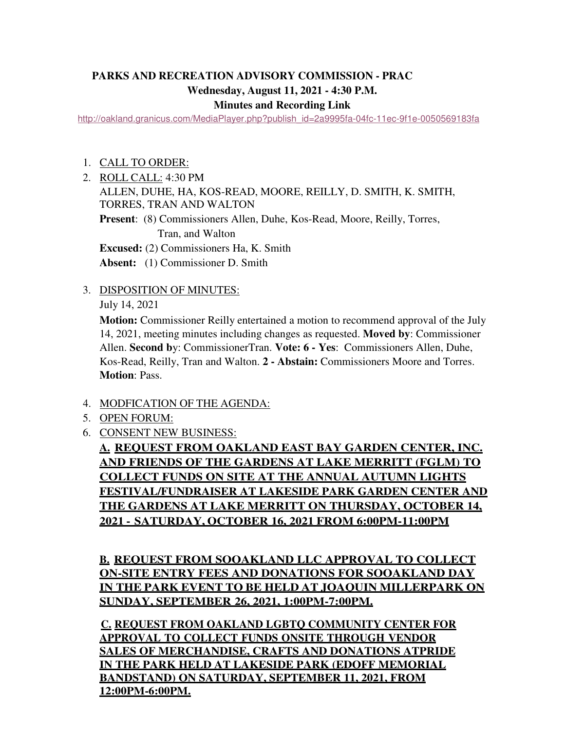# **PARKS AND RECREATION ADVISORY COMMISSION - PRAC Wednesday, August 11, 2021 - 4:30 P.M.**

#### **Minutes and Recording Link**

http://oakland.granicus.com/MediaPlayer.php?publish\_id=2a9995fa-04fc-11ec-9f1e-0050569183fa

- 1. CALL TO ORDER:
- 2. ROLL CALL: 4:30 PM ALLEN, DUHE, HA, KOS-READ, MOORE, REILLY, D. SMITH, K. SMITH, TORRES, TRAN AND WALTON **Present**: (8) Commissioners Allen, Duhe, Kos-Read, Moore, Reilly, Torres, Tran, and Walton **Excused:** (2) Commissioners Ha, K. Smith **Absent:** (1) Commissioner D. Smith
- 3. DISPOSITION OF MINUTES:

July 14, 2021

**Motion:** Commissioner Reilly entertained a motion to recommend approval of the July 14, 2021, meeting minutes including changes as requested. **Moved by**: Commissioner Allen. **Second b**y: Commissioner Tran. **Vote: 6 - Yes**: Commissioners Allen, Duhe, Kos-Read, Reilly, Tran and Walton. **2 - Abstain:** Commissioners Moore and Torres. **Motion**: Pass.

- 4. MODFICATION OF THE AGENDA:
- 5. OPEN FORUM:
- 6. CONSENT NEW BUSINESS:

**A. REQUEST FROM OAKLAND EAST BAY GARDEN CENTER, INC. AND FRIENDS OF THE GARDENS AT LAKE MERRITT (FGLM) TO COLLECT FUNDS ON SITE AT THE ANNUAL AUTUMN LIGHTS FESTIVAL/FUNDRAISER AT LAKESIDE PARK GARDEN CENTER AND THE GARDENS AT LAKE MERRITT ON THURSDAY, OCTOBER 14, 2021 - SATURDAY, OCTOBER 16, 2021 FROM 6:00PM-11:00PM**

**B. REQUEST FROM SOOAKLAND LLC APPROVAL TO COLLECT ON-SITE ENTRY FEES AND DONATIONS FOR SOOAKLAND DAY IN THE PARK EVENT TO BE HELD AT JOAQUIN MILLERPARK ON SUNDAY, SEPTEMBER 26, 2021, 1:00PM-7:00PM.**

**C. REQUEST FROM OAKLAND LGBTQ COMMUNITY CENTER FOR APPROVAL TO COLLECT FUNDS ONSITE THROUGH VENDOR SALES OF MERCHANDISE, CRAFTS AND DONATIONS ATPRIDE IN THE PARK HELD AT LAKESIDE PARK (EDOFF MEMORIAL BANDSTAND) ON SATURDAY, SEPTEMBER 11, 2021, FROM 12:00PM-6:00PM.**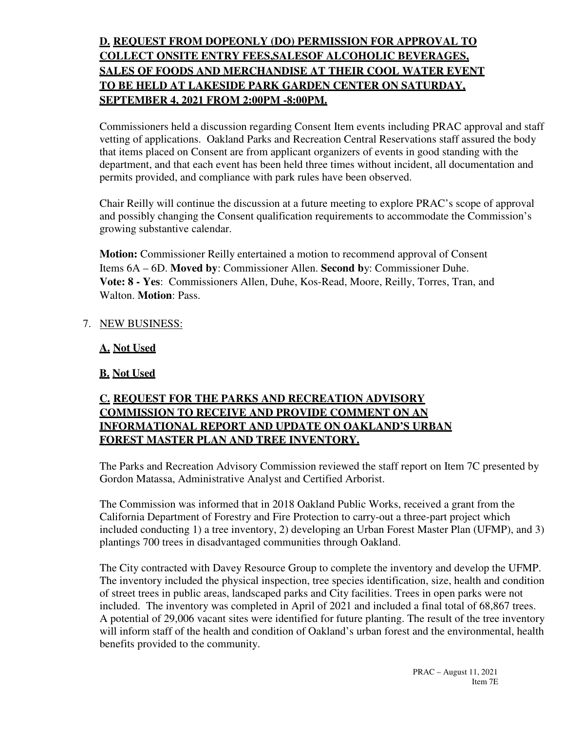# **D. REQUEST FROM DOPEONLY (DO) PERMISSION FOR APPROVAL TO COLLECT ONSITE ENTRY FEES,SALESOF ALCOHOLIC BEVERAGES, SALES OF FOODS AND MERCHANDISE AT THEIR COOL WATER EVENT TO BE HELD AT LAKESIDE PARK GARDEN CENTER ON SATURDAY, SEPTEMBER 4, 2021 FROM 2:00PM -8:00PM.**

Commissioners held a discussion regarding Consent Item events including PRAC approval and staff vetting of applications. Oakland Parks and Recreation Central Reservations staff assured the body that items placed on Consent are from applicant organizers of events in good standing with the department, and that each event has been held three times without incident, all documentation and permits provided, and compliance with park rules have been observed.

Chair Reilly will continue the discussion at a future meeting to explore PRAC's scope of approval and possibly changing the Consent qualification requirements to accommodate the Commission's growing substantive calendar.

**Motion:** Commissioner Reilly entertained a motion to recommend approval of Consent Items 6A – 6D. **Moved by**: Commissioner Allen. **Second b**y: Commissioner Duhe. **Vote: 8 - Yes**: Commissioners Allen, Duhe, Kos-Read, Moore, Reilly, Torres, Tran, and Walton. **Motion**: Pass.

## 7. NEW BUSINESS:

**A. Not Used** 

# **B. Not Used**

# **C. REQUEST FOR THE PARKS AND RECREATION ADVISORY COMMISSION TO RECEIVE AND PROVIDE COMMENT ON AN INFORMATIONAL REPORT AND UPDATE ON OAKLAND'S URBAN FOREST MASTER PLAN AND TREE INVENTORY.**

The Parks and Recreation Advisory Commission reviewed the staff report on Item 7C presented by Gordon Matassa, Administrative Analyst and Certified Arborist.

The Commission was informed that in 2018 Oakland Public Works, received a grant from the California Department of Forestry and Fire Protection to carry-out a three-part project which included conducting 1) a tree inventory, 2) developing an Urban Forest Master Plan (UFMP), and 3) plantings 700 trees in disadvantaged communities through Oakland.

The City contracted with Davey Resource Group to complete the inventory and develop the UFMP. The inventory included the physical inspection, tree species identification, size, health and condition of street trees in public areas, landscaped parks and City facilities. Trees in open parks were not included. The inventory was completed in April of 2021 and included a final total of 68,867 trees. A potential of 29,006 vacant sites were identified for future planting. The result of the tree inventory will inform staff of the health and condition of Oakland's urban forest and the environmental, health benefits provided to the community.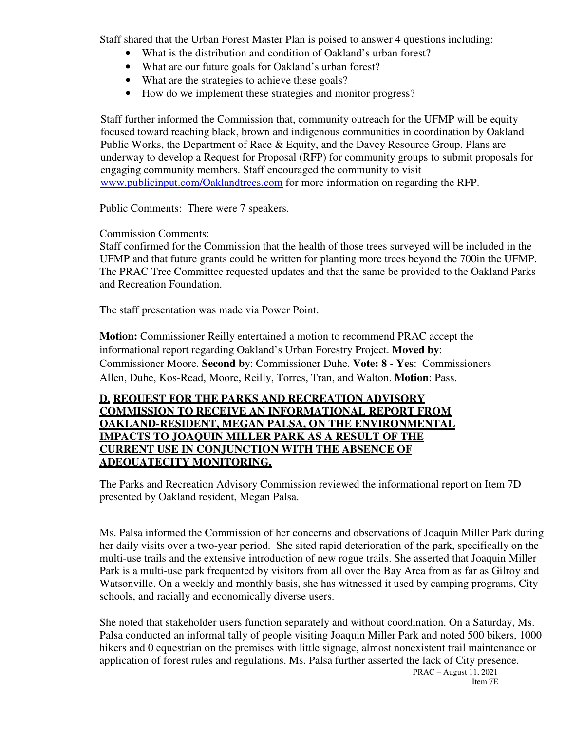Staff shared that the Urban Forest Master Plan is poised to answer 4 questions including:

- What is the distribution and condition of Oakland's urban forest?
- What are our future goals for Oakland's urban forest?
- What are the strategies to achieve these goals?
- How do we implement these strategies and monitor progress?

 Staff further informed the Commission that, community outreach for the UFMP will be equity focused toward reaching black, brown and indigenous communities in coordination by Oakland Public Works, the Department of Race & Equity, and the Davey Resource Group. Plans are underway to develop a Request for Proposal (RFP) for community groups to submit proposals for engaging community members. Staff encouraged the community to visit www.publicinput.com/Oaklandtrees.com for more information on regarding the RFP.

Public Comments: There were 7 speakers.

#### Commission Comments:

Staff confirmed for the Commission that the health of those trees surveyed will be included in the UFMP and that future grants could be written for planting more trees beyond the 700in the UFMP. The PRAC Tree Committee requested updates and that the same be provided to the Oakland Parks and Recreation Foundation.

The staff presentation was made via Power Point.

**Motion:** Commissioner Reilly entertained a motion to recommend PRAC accept the informational report regarding Oakland's Urban Forestry Project. **Moved by**: Commissioner Moore. **Second b**y: Commissioner Duhe. **Vote: 8 - Yes**: Commissioners Allen, Duhe, Kos-Read, Moore, Reilly, Torres, Tran, and Walton. **Motion**: Pass.

## **D. REQUEST FOR THE PARKS AND RECREATION ADVISORY COMMISSION TO RECEIVE AN INFORMATIONAL REPORT FROM OAKLAND-RESIDENT, MEGAN PALSA, ON THE ENVIRONMENTAL IMPACTS TO JOAQUIN MILLER PARK AS A RESULT OF THE CURRENT USE IN CONJUNCTION WITH THE ABSENCE OF ADEQUATECITY MONITORING.**

The Parks and Recreation Advisory Commission reviewed the informational report on Item 7D presented by Oakland resident, Megan Palsa.

Ms. Palsa informed the Commission of her concerns and observations of Joaquin Miller Park during her daily visits over a two-year period. She sited rapid deterioration of the park, specifically on the multi-use trails and the extensive introduction of new rogue trails. She asserted that Joaquin Miller Park is a multi-use park frequented by visitors from all over the Bay Area from as far as Gilroy and Watsonville. On a weekly and monthly basis, she has witnessed it used by camping programs, City schools, and racially and economically diverse users.

She noted that stakeholder users function separately and without coordination. On a Saturday, Ms. Palsa conducted an informal tally of people visiting Joaquin Miller Park and noted 500 bikers, 1000 hikers and 0 equestrian on the premises with little signage, almost nonexistent trail maintenance or application of forest rules and regulations. Ms. Palsa further asserted the lack of City presence.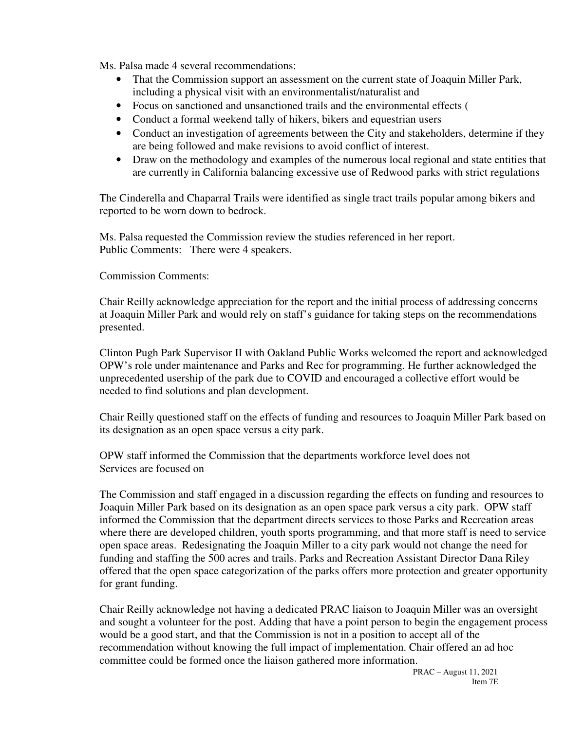Ms. Palsa made 4 several recommendations:

- That the Commission support an assessment on the current state of Joaquin Miller Park, including a physical visit with an environmentalist/naturalist and
- Focus on sanctioned and unsanctioned trails and the environmental effects (
- Conduct a formal weekend tally of hikers, bikers and equestrian users
- Conduct an investigation of agreements between the City and stakeholders, determine if they are being followed and make revisions to avoid conflict of interest.
- Draw on the methodology and examples of the numerous local regional and state entities that are currently in California balancing excessive use of Redwood parks with strict regulations

The Cinderella and Chaparral Trails were identified as single tract trails popular among bikers and reported to be worn down to bedrock.

Ms. Palsa requested the Commission review the studies referenced in her report. Public Comments: There were 4 speakers.

Commission Comments:

Chair Reilly acknowledge appreciation for the report and the initial process of addressing concerns at Joaquin Miller Park and would rely on staff's guidance for taking steps on the recommendations presented.

Clinton Pugh Park Supervisor II with Oakland Public Works welcomed the report and acknowledged OPW's role under maintenance and Parks and Rec for programming. He further acknowledged the unprecedented usership of the park due to COVID and encouraged a collective effort would be needed to find solutions and plan development.

Chair Reilly questioned staff on the effects of funding and resources to Joaquin Miller Park based on its designation as an open space versus a city park.

OPW staff informed the Commission that the departments workforce level does not Services are focused on

The Commission and staff engaged in a discussion regarding the effects on funding and resources to Joaquin Miller Park based on its designation as an open space park versus a city park. OPW staff informed the Commission that the department directs services to those Parks and Recreation areas where there are developed children, youth sports programming, and that more staff is need to service open space areas. Redesignating the Joaquin Miller to a city park would not change the need for funding and staffing the 500 acres and trails. Parks and Recreation Assistant Director Dana Riley offered that the open space categorization of the parks offers more protection and greater opportunity for grant funding.

Chair Reilly acknowledge not having a dedicated PRAC liaison to Joaquin Miller was an oversight and sought a volunteer for the post. Adding that have a point person to begin the engagement process would be a good start, and that the Commission is not in a position to accept all of the recommendation without knowing the full impact of implementation. Chair offered an ad hoc committee could be formed once the liaison gathered more information.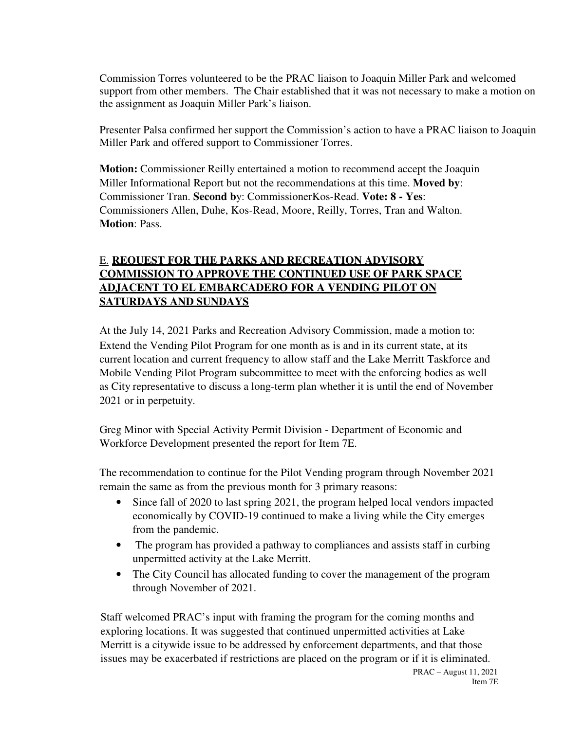Commission Torres volunteered to be the PRAC liaison to Joaquin Miller Park and welcomed support from other members. The Chair established that it was not necessary to make a motion on the assignment as Joaquin Miller Park's liaison.

Presenter Palsa confirmed her support the Commission's action to have a PRAC liaison to Joaquin Miller Park and offered support to Commissioner Torres.

**Motion:** Commissioner Reilly entertained a motion to recommend accept the Joaquin Miller Informational Report but not the recommendations at this time. **Moved by**: Commissioner Tran. **Second b**y: Commissioner Kos-Read. **Vote: 8 - Yes**: Commissioners Allen, Duhe, Kos-Read, Moore, Reilly, Torres, Tran and Walton. **Motion**: Pass.

# E. **REQUEST FOR THE PARKS AND RECREATION ADVISORY COMMISSION TO APPROVE THE CONTINUED USE OF PARK SPACE ADJACENT TO EL EMBARCADERO FOR A VENDING PILOT ON SATURDAYS AND SUNDAYS**

At the July 14, 2021 Parks and Recreation Advisory Commission, made a motion to: Extend the Vending Pilot Program for one month as is and in its current state, at its current location and current frequency to allow staff and the Lake Merritt Taskforce and Mobile Vending Pilot Program subcommittee to meet with the enforcing bodies as well as City representative to discuss a long-term plan whether it is until the end of November 2021 or in perpetuity.

Greg Minor with Special Activity Permit Division - Department of Economic and Workforce Development presented the report for Item 7E.

The recommendation to continue for the Pilot Vending program through November 2021 remain the same as from the previous month for 3 primary reasons:

- Since fall of 2020 to last spring 2021, the program helped local vendors impacted economically by COVID-19 continued to make a living while the City emerges from the pandemic.
- The program has provided a pathway to compliances and assists staff in curbing unpermitted activity at the Lake Merritt.
- The City Council has allocated funding to cover the management of the program through November of 2021.

Staff welcomed PRAC's input with framing the program for the coming months and exploring locations. It was suggested that continued unpermitted activities at Lake Merritt is a citywide issue to be addressed by enforcement departments, and that those issues may be exacerbated if restrictions are placed on the program or if it is eliminated.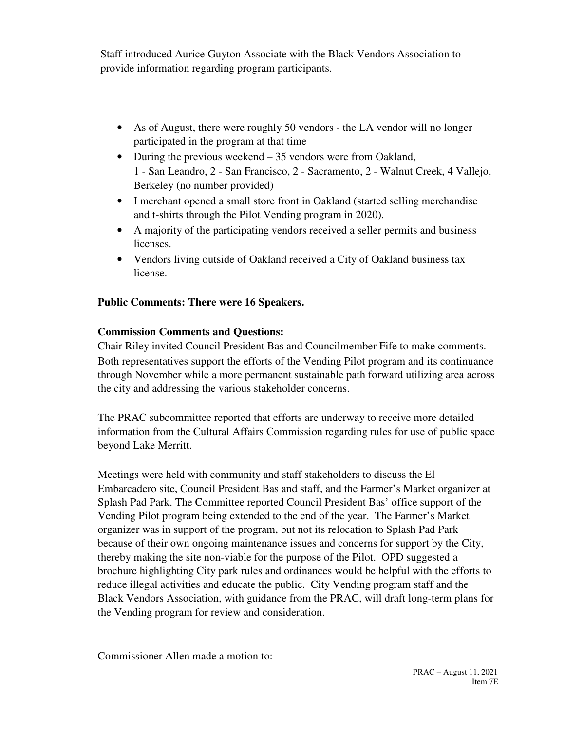Staff introduced Aurice Guyton Associate with the Black Vendors Association to provide information regarding program participants.

- As of August, there were roughly 50 vendors the LA vendor will no longer participated in the program at that time
- During the previous weekend 35 vendors were from Oakland, 1 - San Leandro, 2 - San Francisco, 2 - Sacramento, 2 - Walnut Creek, 4 Vallejo, Berkeley (no number provided)
- I merchant opened a small store front in Oakland (started selling merchandise and t-shirts through the Pilot Vending program in 2020).
- A majority of the participating vendors received a seller permits and business licenses.
- Vendors living outside of Oakland received a City of Oakland business tax license.

# **Public Comments: There were 16 Speakers.**

## **Commission Comments and Questions:**

 Chair Riley invited Council President Bas and Councilmember Fife to make comments. Both representatives support the efforts of the Vending Pilot program and its continuance through November while a more permanent sustainable path forward utilizing area across the city and addressing the various stakeholder concerns.

The PRAC subcommittee reported that efforts are underway to receive more detailed information from the Cultural Affairs Commission regarding rules for use of public space beyond Lake Merritt.

Meetings were held with community and staff stakeholders to discuss the El Embarcadero site, Council President Bas and staff, and the Farmer's Market organizer at Splash Pad Park. The Committee reported Council President Bas' office support of the Vending Pilot program being extended to the end of the year. The Farmer's Market organizer was in support of the program, but not its relocation to Splash Pad Park because of their own ongoing maintenance issues and concerns for support by the City, thereby making the site non-viable for the purpose of the Pilot. OPD suggested a brochure highlighting City park rules and ordinances would be helpful with the efforts to reduce illegal activities and educate the public. City Vending program staff and the Black Vendors Association, with guidance from the PRAC, will draft long-term plans for the Vending program for review and consideration.

Commissioner Allen made a motion to: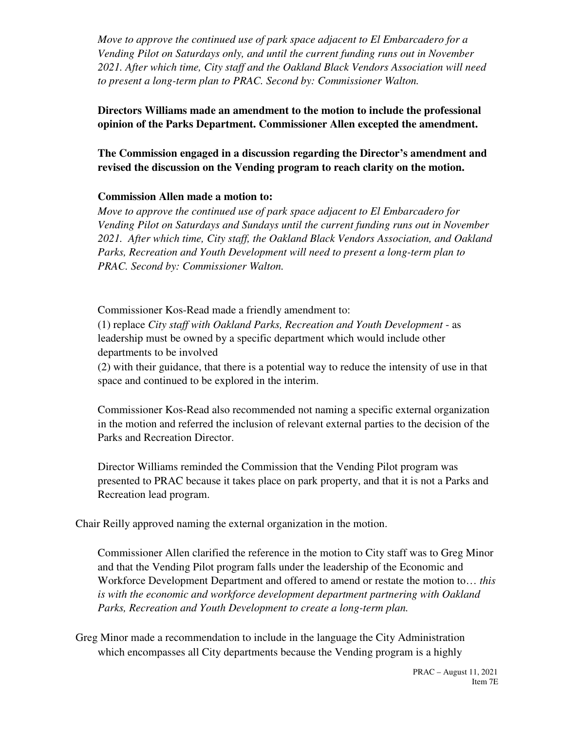*Move to approve the continued use of park space adjacent to El Embarcadero for a Vending Pilot on Saturdays only, and until the current funding runs out in November 2021. After which time, City staff and the Oakland Black Vendors Association will need to present a long-term plan to PRAC. Second by: Commissioner Walton.* 

**Directors Williams made an amendment to the motion to include the professional opinion of the Parks Department. Commissioner Allen excepted the amendment.** 

**The Commission engaged in a discussion regarding the Director's amendment and revised the discussion on the Vending program to reach clarity on the motion.** 

## **Commission Allen made a motion to:**

*Move to approve the continued use of park space adjacent to El Embarcadero for Vending Pilot on Saturdays and Sundays until the current funding runs out in November 2021. After which time, City staff, the Oakland Black Vendors Association, and Oakland Parks, Recreation and Youth Development will need to present a long-term plan to PRAC. Second by: Commissioner Walton.* 

Commissioner Kos-Read made a friendly amendment to: (1) replace *City staff with Oakland Parks, Recreation and Youth Development* - as leadership must be owned by a specific department which would include other departments to be involved

(2) with their guidance, that there is a potential way to reduce the intensity of use in that space and continued to be explored in the interim.

Commissioner Kos-Read also recommended not naming a specific external organization in the motion and referred the inclusion of relevant external parties to the decision of the Parks and Recreation Director.

Director Williams reminded the Commission that the Vending Pilot program was presented to PRAC because it takes place on park property, and that it is not a Parks and Recreation lead program.

Chair Reilly approved naming the external organization in the motion.

Commissioner Allen clarified the reference in the motion to City staff was to Greg Minor and that the Vending Pilot program falls under the leadership of the Economic and Workforce Development Department and offered to amend or restate the motion to… *this is with the economic and workforce development department partnering with Oakland Parks, Recreation and Youth Development to create a long-term plan.* 

Greg Minor made a recommendation to include in the language the City Administration which encompasses all City departments because the Vending program is a highly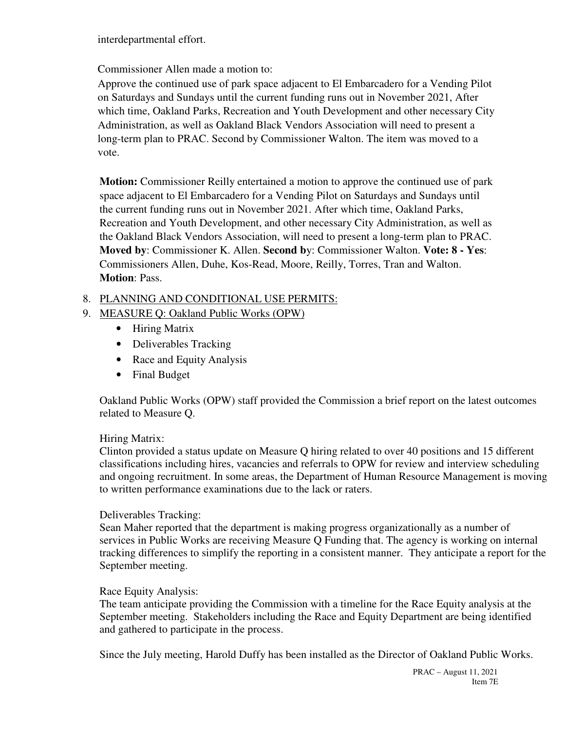interdepartmental effort.

Commissioner Allen made a motion to:

Approve the continued use of park space adjacent to El Embarcadero for a Vending Pilot on Saturdays and Sundays until the current funding runs out in November 2021, After which time, Oakland Parks, Recreation and Youth Development and other necessary City Administration, as well as Oakland Black Vendors Association will need to present a long-term plan to PRAC. Second by Commissioner Walton. The item was moved to a vote.

**Motion:** Commissioner Reilly entertained a motion to approve the continued use of park space adjacent to El Embarcadero for a Vending Pilot on Saturdays and Sundays until the current funding runs out in November 2021. After which time, Oakland Parks, Recreation and Youth Development, and other necessary City Administration, as well as the Oakland Black Vendors Association, will need to present a long-term plan to PRAC. **Moved by**: Commissioner K. Allen. **Second b**y: Commissioner Walton. **Vote: 8 - Yes**: Commissioners Allen, Duhe, Kos-Read, Moore, Reilly, Torres, Tran and Walton. **Motion**: Pass.

## 8. PLANNING AND CONDITIONAL USE PERMITS:

- 9. MEASURE Q: Oakland Public Works (OPW)
	- Hiring Matrix
	- Deliverables Tracking
	- Race and Equity Analysis
	- Final Budget

Oakland Public Works (OPW) staff provided the Commission a brief report on the latest outcomes related to Measure Q.

## Hiring Matrix:

Clinton provided a status update on Measure Q hiring related to over 40 positions and 15 different classifications including hires, vacancies and referrals to OPW for review and interview scheduling and ongoing recruitment. In some areas, the Department of Human Resource Management is moving to written performance examinations due to the lack or raters.

#### Deliverables Tracking:

Sean Maher reported that the department is making progress organizationally as a number of services in Public Works are receiving Measure Q Funding that. The agency is working on internal tracking differences to simplify the reporting in a consistent manner. They anticipate a report for the September meeting.

## Race Equity Analysis:

The team anticipate providing the Commission with a timeline for the Race Equity analysis at the September meeting. Stakeholders including the Race and Equity Department are being identified and gathered to participate in the process.

Since the July meeting, Harold Duffy has been installed as the Director of Oakland Public Works.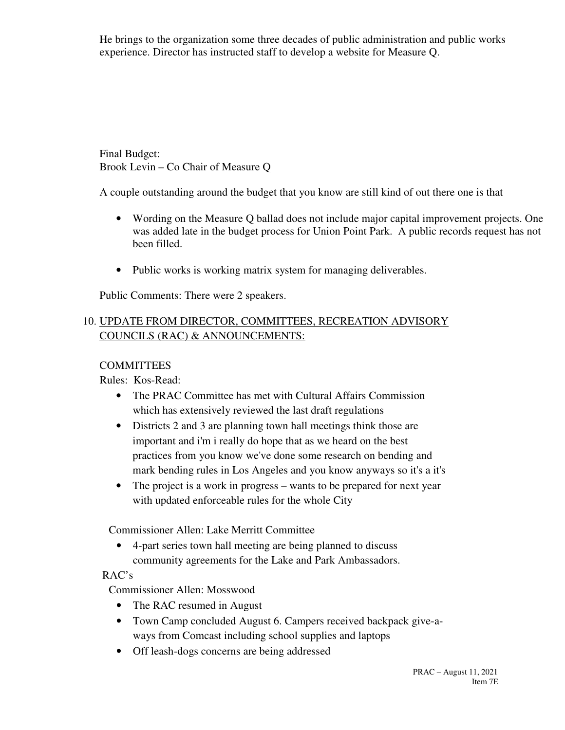He brings to the organization some three decades of public administration and public works experience. Director has instructed staff to develop a website for Measure Q.

Final Budget: Brook Levin – Co Chair of Measure Q

A couple outstanding around the budget that you know are still kind of out there one is that

- Wording on the Measure Q ballad does not include major capital improvement projects. One was added late in the budget process for Union Point Park. A public records request has not been filled.
- Public works is working matrix system for managing deliverables.

Public Comments: There were 2 speakers.

# 10. UPDATE FROM DIRECTOR, COMMITTEES, RECREATION ADVISORY COUNCILS (RAC) & ANNOUNCEMENTS:

## **COMMITTEES**

Rules: Kos-Read:

- The PRAC Committee has met with Cultural Affairs Commission which has extensively reviewed the last draft regulations
- Districts 2 and 3 are planning town hall meetings think those are important and i'm i really do hope that as we heard on the best practices from you know we've done some research on bending and mark bending rules in Los Angeles and you know anyways so it's a it's
- The project is a work in progress wants to be prepared for next year with updated enforceable rules for the whole City

Commissioner Allen: Lake Merritt Committee

• 4-part series town hall meeting are being planned to discuss community agreements for the Lake and Park Ambassadors.

# RAC's

Commissioner Allen: Mosswood

- The RAC resumed in August
- Town Camp concluded August 6. Campers received backpack give-aways from Comcast including school supplies and laptops
- Off leash-dogs concerns are being addressed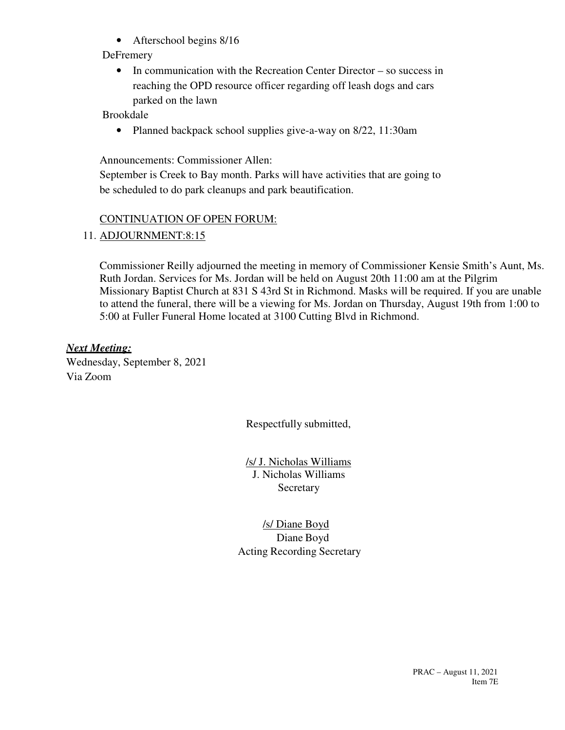• Afterschool begins 8/16

# **DeFremery**

• In communication with the Recreation Center Director – so success in reaching the OPD resource officer regarding off leash dogs and cars parked on the lawn

Brookdale

• Planned backpack school supplies give-a-way on 8/22, 11:30am

Announcements: Commissioner Allen:

September is Creek to Bay month. Parks will have activities that are going to be scheduled to do park cleanups and park beautification.

# CONTINUATION OF OPEN FORUM:

# 11. ADJOURNMENT:8:15

Commissioner Reilly adjourned the meeting in memory of Commissioner Kensie Smith's Aunt, Ms. Ruth Jordan. Services for Ms. Jordan will be held on August 20th 11:00 am at the Pilgrim Missionary Baptist Church at 831 S 43rd St in Richmond. Masks will be required. If you are unable to attend the funeral, there will be a viewing for Ms. Jordan on Thursday, August 19th from 1:00 to 5:00 at Fuller Funeral Home located at 3100 Cutting Blvd in Richmond.

*Next Meeting:*  Wednesday, September 8, 2021 Via Zoom

Respectfully submitted,

/s/ J. Nicholas Williams J. Nicholas Williams **Secretary** 

/s/ Diane Boyd Diane Boyd Acting Recording Secretary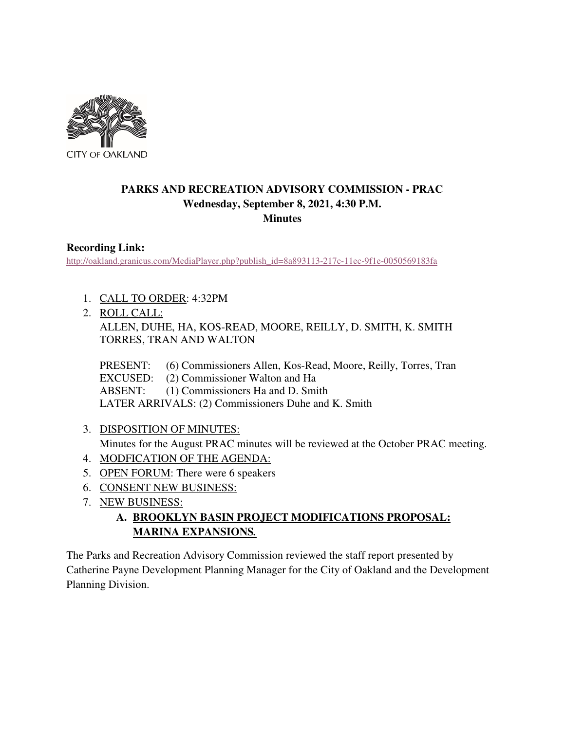

# **PARKS AND RECREATION ADVISORY COMMISSION - PRAC Wednesday, September 8, 2021, 4:30 P.M. Minutes**

## **Recording Link:**

http://oakland.granicus.com/MediaPlayer.php?publish\_id=8a893113-217c-11ec-9f1e-0050569183fa

- 1. CALL TO ORDER: 4:32PM
- 2. ROLL CALL:

ALLEN, DUHE, HA, KOS-READ, MOORE, REILLY, D. SMITH, K. SMITH TORRES, TRAN AND WALTON

PRESENT: (6) Commissioners Allen, Kos-Read, Moore, Reilly, Torres, Tran EXCUSED: (2) Commissioner Walton and Ha ABSENT: (1) Commissioners Ha and D. Smith LATER ARRIVALS: (2) Commissioners Duhe and K. Smith

3. DISPOSITION OF MINUTES:

Minutes for the August PRAC minutes will be reviewed at the October PRAC meeting.

- 4. MODFICATION OF THE AGENDA:
- 5. OPEN FORUM: There were 6 speakers
- 6. CONSENT NEW BUSINESS:
- 7. NEW BUSINESS:
	- **A. BROOKLYN BASIN PROJECT MODIFICATIONS PROPOSAL: MARINA EXPANSIONS***.*

The Parks and Recreation Advisory Commission reviewed the staff report presented by Catherine Payne Development Planning Manager for the City of Oakland and the Development Planning Division.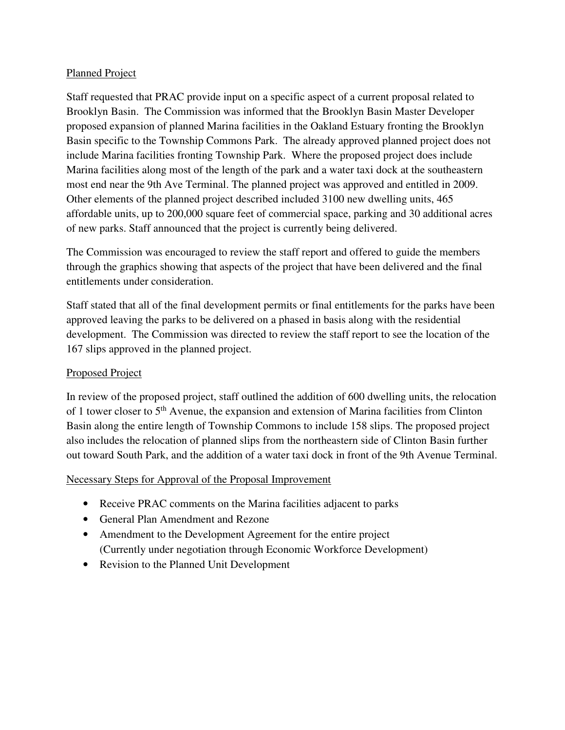## Planned Project

Staff requested that PRAC provide input on a specific aspect of a current proposal related to Brooklyn Basin. The Commission was informed that the Brooklyn Basin Master Developer proposed expansion of planned Marina facilities in the Oakland Estuary fronting the Brooklyn Basin specific to the Township Commons Park. The already approved planned project does not include Marina facilities fronting Township Park. Where the proposed project does include Marina facilities along most of the length of the park and a water taxi dock at the southeastern most end near the 9th Ave Terminal. The planned project was approved and entitled in 2009. Other elements of the planned project described included 3100 new dwelling units, 465 affordable units, up to 200,000 square feet of commercial space, parking and 30 additional acres of new parks. Staff announced that the project is currently being delivered.

The Commission was encouraged to review the staff report and offered to guide the members through the graphics showing that aspects of the project that have been delivered and the final entitlements under consideration.

Staff stated that all of the final development permits or final entitlements for the parks have been approved leaving the parks to be delivered on a phased in basis along with the residential development. The Commission was directed to review the staff report to see the location of the 167 slips approved in the planned project.

## Proposed Project

In review of the proposed project, staff outlined the addition of 600 dwelling units, the relocation of 1 tower closer to 5<sup>th</sup> Avenue, the expansion and extension of Marina facilities from Clinton Basin along the entire length of Township Commons to include 158 slips. The proposed project also includes the relocation of planned slips from the northeastern side of Clinton Basin further out toward South Park, and the addition of a water taxi dock in front of the 9th Avenue Terminal.

## Necessary Steps for Approval of the Proposal Improvement

- Receive PRAC comments on the Marina facilities adjacent to parks
- General Plan Amendment and Rezone
- Amendment to the Development Agreement for the entire project (Currently under negotiation through Economic Workforce Development)
- Revision to the Planned Unit Development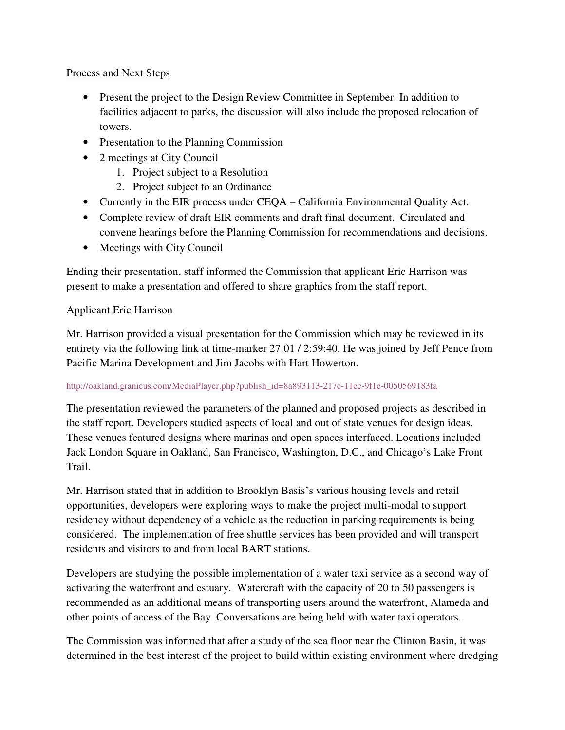#### Process and Next Steps

- Present the project to the Design Review Committee in September. In addition to facilities adjacent to parks, the discussion will also include the proposed relocation of towers.
- Presentation to the Planning Commission
- 2 meetings at City Council
	- 1. Project subject to a Resolution
	- 2. Project subject to an Ordinance
- Currently in the EIR process under CEQA California Environmental Quality Act.
- Complete review of draft EIR comments and draft final document. Circulated and convene hearings before the Planning Commission for recommendations and decisions.
- Meetings with City Council

Ending their presentation, staff informed the Commission that applicant Eric Harrison was present to make a presentation and offered to share graphics from the staff report.

#### Applicant Eric Harrison

Mr. Harrison provided a visual presentation for the Commission which may be reviewed in its entirety via the following link at time-marker 27:01 / 2:59:40. He was joined by Jeff Pence from Pacific Marina Development and Jim Jacobs with Hart Howerton.

#### http://oakland.granicus.com/MediaPlayer.php?publish\_id=8a893113-217c-11ec-9f1e-0050569183fa

The presentation reviewed the parameters of the planned and proposed projects as described in the staff report. Developers studied aspects of local and out of state venues for design ideas. These venues featured designs where marinas and open spaces interfaced. Locations included Jack London Square in Oakland, San Francisco, Washington, D.C., and Chicago's Lake Front Trail.

Mr. Harrison stated that in addition to Brooklyn Basis's various housing levels and retail opportunities, developers were exploring ways to make the project multi-modal to support residency without dependency of a vehicle as the reduction in parking requirements is being considered. The implementation of free shuttle services has been provided and will transport residents and visitors to and from local BART stations.

Developers are studying the possible implementation of a water taxi service as a second way of activating the waterfront and estuary. Watercraft with the capacity of 20 to 50 passengers is recommended as an additional means of transporting users around the waterfront, Alameda and other points of access of the Bay. Conversations are being held with water taxi operators.

The Commission was informed that after a study of the sea floor near the Clinton Basin, it was determined in the best interest of the project to build within existing environment where dredging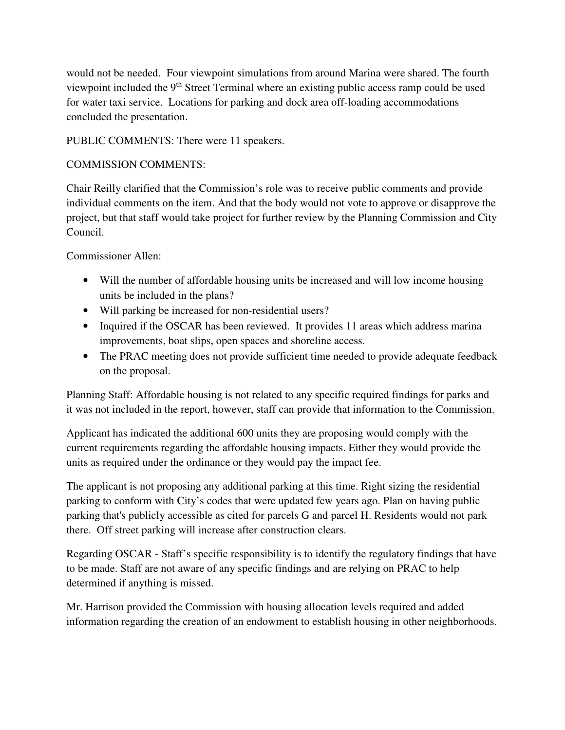would not be needed. Four viewpoint simulations from around Marina were shared. The fourth viewpoint included the 9th Street Terminal where an existing public access ramp could be used for water taxi service. Locations for parking and dock area off-loading accommodations concluded the presentation.

PUBLIC COMMENTS: There were 11 speakers.

## COMMISSION COMMENTS:

Chair Reilly clarified that the Commission's role was to receive public comments and provide individual comments on the item. And that the body would not vote to approve or disapprove the project, but that staff would take project for further review by the Planning Commission and City Council.

Commissioner Allen:

- Will the number of affordable housing units be increased and will low income housing units be included in the plans?
- Will parking be increased for non-residential users?
- Inquired if the OSCAR has been reviewed. It provides 11 areas which address marina improvements, boat slips, open spaces and shoreline access.
- The PRAC meeting does not provide sufficient time needed to provide adequate feedback on the proposal.

Planning Staff: Affordable housing is not related to any specific required findings for parks and it was not included in the report, however, staff can provide that information to the Commission.

Applicant has indicated the additional 600 units they are proposing would comply with the current requirements regarding the affordable housing impacts. Either they would provide the units as required under the ordinance or they would pay the impact fee.

The applicant is not proposing any additional parking at this time. Right sizing the residential parking to conform with City's codes that were updated few years ago. Plan on having public parking that's publicly accessible as cited for parcels G and parcel H. Residents would not park there. Off street parking will increase after construction clears.

Regarding OSCAR - Staff's specific responsibility is to identify the regulatory findings that have to be made. Staff are not aware of any specific findings and are relying on PRAC to help determined if anything is missed.

Mr. Harrison provided the Commission with housing allocation levels required and added information regarding the creation of an endowment to establish housing in other neighborhoods.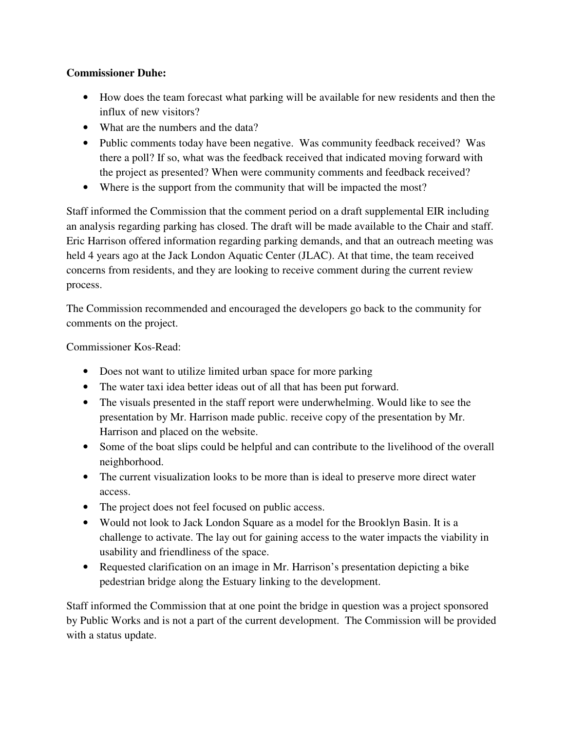## **Commissioner Duhe:**

- How does the team forecast what parking will be available for new residents and then the influx of new visitors?
- What are the numbers and the data?
- Public comments today have been negative. Was community feedback received? Was there a poll? If so, what was the feedback received that indicated moving forward with the project as presented? When were community comments and feedback received?
- Where is the support from the community that will be impacted the most?

Staff informed the Commission that the comment period on a draft supplemental EIR including an analysis regarding parking has closed. The draft will be made available to the Chair and staff. Eric Harrison offered information regarding parking demands, and that an outreach meeting was held 4 years ago at the Jack London Aquatic Center (JLAC). At that time, the team received concerns from residents, and they are looking to receive comment during the current review process.

The Commission recommended and encouraged the developers go back to the community for comments on the project.

Commissioner Kos-Read:

- Does not want to utilize limited urban space for more parking
- The water taxi idea better ideas out of all that has been put forward.
- The visuals presented in the staff report were underwhelming. Would like to see the presentation by Mr. Harrison made public. receive copy of the presentation by Mr. Harrison and placed on the website.
- Some of the boat slips could be helpful and can contribute to the livelihood of the overall neighborhood.
- The current visualization looks to be more than is ideal to preserve more direct water access.
- The project does not feel focused on public access.
- Would not look to Jack London Square as a model for the Brooklyn Basin. It is a challenge to activate. The lay out for gaining access to the water impacts the viability in usability and friendliness of the space.
- Requested clarification on an image in Mr. Harrison's presentation depicting a bike pedestrian bridge along the Estuary linking to the development.

Staff informed the Commission that at one point the bridge in question was a project sponsored by Public Works and is not a part of the current development. The Commission will be provided with a status update.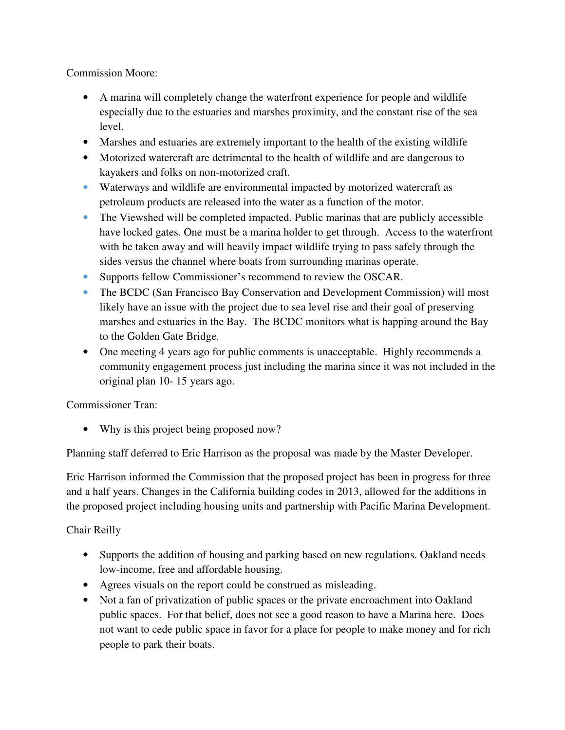Commission Moore:

- A marina will completely change the waterfront experience for people and wildlife especially due to the estuaries and marshes proximity, and the constant rise of the sea level.
- Marshes and estuaries are extremely important to the health of the existing wildlife
- Motorized watercraft are detrimental to the health of wildlife and are dangerous to kayakers and folks on non-motorized craft.
- Waterways and wildlife are environmental impacted by motorized watercraft as petroleum products are released into the water as a function of the motor.
- The Viewshed will be completed impacted. Public marinas that are publicly accessible have locked gates. One must be a marina holder to get through. Access to the waterfront with be taken away and will heavily impact wildlife trying to pass safely through the sides versus the channel where boats from surrounding marinas operate.
- Supports fellow Commissioner's recommend to review the OSCAR.
- The BCDC (San Francisco Bay Conservation and Development Commission) will most likely have an issue with the project due to sea level rise and their goal of preserving marshes and estuaries in the Bay. The BCDC monitors what is happing around the Bay to the Golden Gate Bridge.
- One meeting 4 years ago for public comments is unacceptable. Highly recommends a community engagement process just including the marina since it was not included in the original plan 10- 15 years ago.

Commissioner Tran:

• Why is this project being proposed now?

Planning staff deferred to Eric Harrison as the proposal was made by the Master Developer.

Eric Harrison informed the Commission that the proposed project has been in progress for three and a half years. Changes in the California building codes in 2013, allowed for the additions in the proposed project including housing units and partnership with Pacific Marina Development.

# Chair Reilly

- Supports the addition of housing and parking based on new regulations. Oakland needs low-income, free and affordable housing.
- Agrees visuals on the report could be construed as misleading.
- Not a fan of privatization of public spaces or the private encroachment into Oakland public spaces. For that belief, does not see a good reason to have a Marina here. Does not want to cede public space in favor for a place for people to make money and for rich people to park their boats.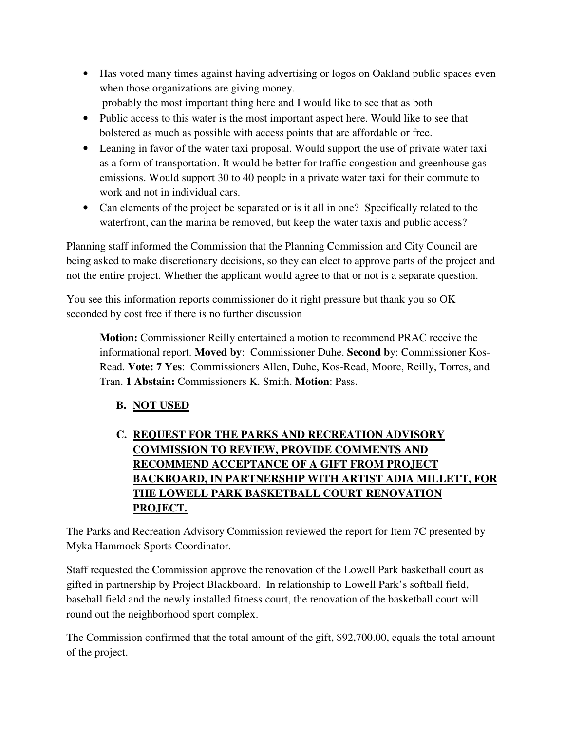- Has voted many times against having advertising or logos on Oakland public spaces even when those organizations are giving money. probably the most important thing here and I would like to see that as both
- Public access to this water is the most important aspect here. Would like to see that bolstered as much as possible with access points that are affordable or free.
- Leaning in favor of the water taxi proposal. Would support the use of private water taxi as a form of transportation. It would be better for traffic congestion and greenhouse gas emissions. Would support 30 to 40 people in a private water taxi for their commute to work and not in individual cars.
- Can elements of the project be separated or is it all in one? Specifically related to the waterfront, can the marina be removed, but keep the water taxis and public access?

Planning staff informed the Commission that the Planning Commission and City Council are being asked to make discretionary decisions, so they can elect to approve parts of the project and not the entire project. Whether the applicant would agree to that or not is a separate question.

You see this information reports commissioner do it right pressure but thank you so OK seconded by cost free if there is no further discussion

**Motion:** Commissioner Reilly entertained a motion to recommend PRAC receive the informational report. **Moved by**: Commissioner Duhe. **Second b**y: Commissioner Kos-Read. **Vote: 7 Yes**: Commissioners Allen, Duhe, Kos-Read, Moore, Reilly, Torres, and Tran. **1 Abstain:** Commissioners K. Smith. **Motion**: Pass.

**B. NOT USED** 

# **C. REQUEST FOR THE PARKS AND RECREATION ADVISORY COMMISSION TO REVIEW, PROVIDE COMMENTS AND RECOMMEND ACCEPTANCE OF A GIFT FROM PROJECT BACKBOARD, IN PARTNERSHIP WITH ARTIST ADIA MILLETT, FOR THE LOWELL PARK BASKETBALL COURT RENOVATION PROJECT.**

The Parks and Recreation Advisory Commission reviewed the report for Item 7C presented by Myka Hammock Sports Coordinator.

Staff requested the Commission approve the renovation of the Lowell Park basketball court as gifted in partnership by Project Blackboard. In relationship to Lowell Park's softball field, baseball field and the newly installed fitness court, the renovation of the basketball court will round out the neighborhood sport complex.

The Commission confirmed that the total amount of the gift, \$92,700.00, equals the total amount of the project.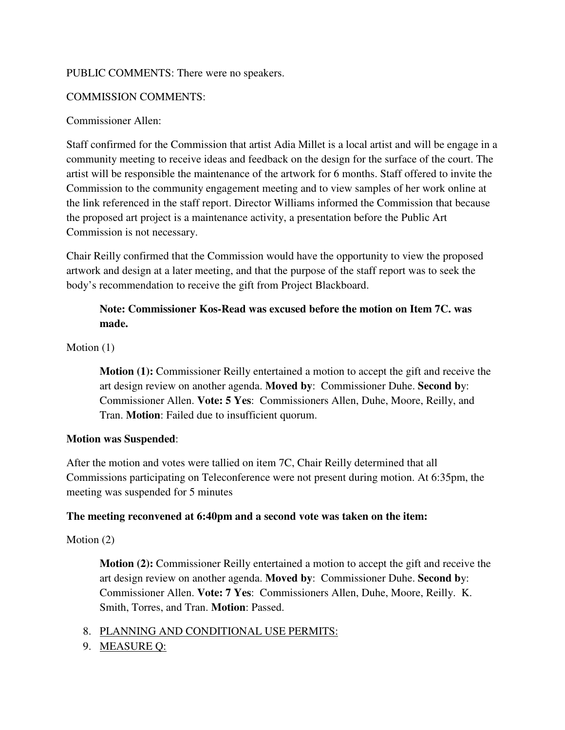#### PUBLIC COMMENTS: There were no speakers.

## COMMISSION COMMENTS:

#### Commissioner Allen:

Staff confirmed for the Commission that artist Adia Millet is a local artist and will be engage in a community meeting to receive ideas and feedback on the design for the surface of the court. The artist will be responsible the maintenance of the artwork for 6 months. Staff offered to invite the Commission to the community engagement meeting and to view samples of her work online at the link referenced in the staff report. Director Williams informed the Commission that because the proposed art project is a maintenance activity, a presentation before the Public Art Commission is not necessary.

Chair Reilly confirmed that the Commission would have the opportunity to view the proposed artwork and design at a later meeting, and that the purpose of the staff report was to seek the body's recommendation to receive the gift from Project Blackboard.

## **Note: Commissioner Kos-Read was excused before the motion on Item 7C. was made.**

Motion  $(1)$ 

**Motion (1):** Commissioner Reilly entertained a motion to accept the gift and receive the art design review on another agenda. **Moved by**: Commissioner Duhe. **Second b**y: Commissioner Allen. **Vote: 5 Yes**: Commissioners Allen, Duhe, Moore, Reilly, and Tran. **Motion**: Failed due to insufficient quorum.

#### **Motion was Suspended**:

After the motion and votes were tallied on item 7C, Chair Reilly determined that all Commissions participating on Teleconference were not present during motion. At 6:35pm, the meeting was suspended for 5 minutes

#### **The meeting reconvened at 6:40pm and a second vote was taken on the item:**

#### Motion (2)

**Motion (2):** Commissioner Reilly entertained a motion to accept the gift and receive the art design review on another agenda. **Moved by**: Commissioner Duhe. **Second b**y: Commissioner Allen. **Vote: 7 Yes**: Commissioners Allen, Duhe, Moore, Reilly. K. Smith, Torres, and Tran. **Motion**: Passed.

- 8. PLANNING AND CONDITIONAL USE PERMITS:
- 9. MEASURE Q: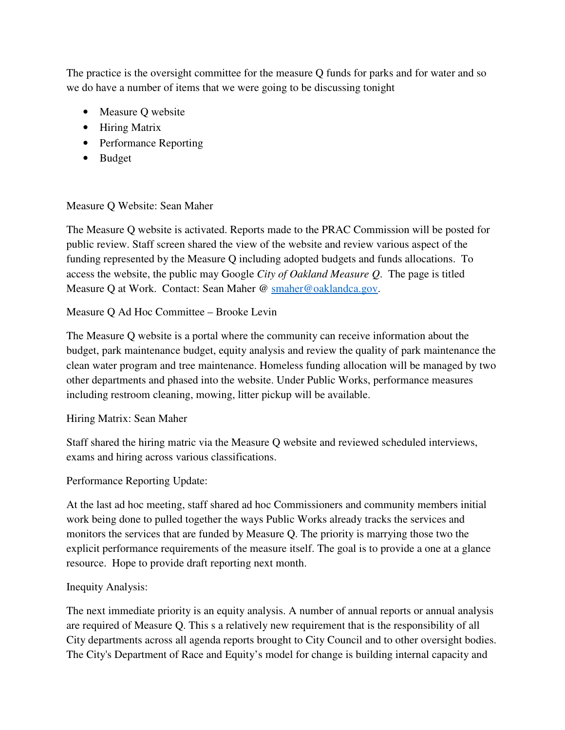The practice is the oversight committee for the measure Q funds for parks and for water and so we do have a number of items that we were going to be discussing tonight

- Measure O website
- Hiring Matrix
- Performance Reporting
- Budget

#### Measure Q Website: Sean Maher

The Measure Q website is activated. Reports made to the PRAC Commission will be posted for public review. Staff screen shared the view of the website and review various aspect of the funding represented by the Measure Q including adopted budgets and funds allocations. To access the website, the public may Google *City of Oakland Measure Q*. The page is titled Measure Q at Work. Contact: Sean Maher @ smaher@oaklandca.gov.

#### Measure Q Ad Hoc Committee – Brooke Levin

The Measure Q website is a portal where the community can receive information about the budget, park maintenance budget, equity analysis and review the quality of park maintenance the clean water program and tree maintenance. Homeless funding allocation will be managed by two other departments and phased into the website. Under Public Works, performance measures including restroom cleaning, mowing, litter pickup will be available.

#### Hiring Matrix: Sean Maher

Staff shared the hiring matric via the Measure Q website and reviewed scheduled interviews, exams and hiring across various classifications.

## Performance Reporting Update:

At the last ad hoc meeting, staff shared ad hoc Commissioners and community members initial work being done to pulled together the ways Public Works already tracks the services and monitors the services that are funded by Measure Q. The priority is marrying those two the explicit performance requirements of the measure itself. The goal is to provide a one at a glance resource. Hope to provide draft reporting next month.

#### Inequity Analysis:

The next immediate priority is an equity analysis. A number of annual reports or annual analysis are required of Measure Q. This s a relatively new requirement that is the responsibility of all City departments across all agenda reports brought to City Council and to other oversight bodies. The City's Department of Race and Equity's model for change is building internal capacity and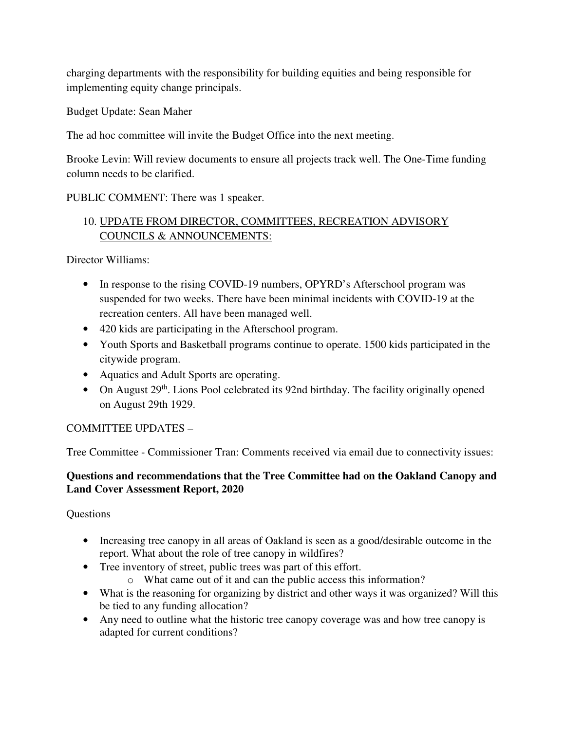charging departments with the responsibility for building equities and being responsible for implementing equity change principals.

Budget Update: Sean Maher

The ad hoc committee will invite the Budget Office into the next meeting.

Brooke Levin: Will review documents to ensure all projects track well. The One-Time funding column needs to be clarified.

PUBLIC COMMENT: There was 1 speaker.

# 10. UPDATE FROM DIRECTOR, COMMITTEES, RECREATION ADVISORY COUNCILS & ANNOUNCEMENTS:

Director Williams:

- In response to the rising COVID-19 numbers, OPYRD's Afterschool program was suspended for two weeks. There have been minimal incidents with COVID-19 at the recreation centers. All have been managed well.
- 420 kids are participating in the Afterschool program.
- Youth Sports and Basketball programs continue to operate. 1500 kids participated in the citywide program.
- Aquatics and Adult Sports are operating.
- On August  $29<sup>th</sup>$ . Lions Pool celebrated its 92nd birthday. The facility originally opened on August 29th 1929.

# COMMITTEE UPDATES –

Tree Committee - Commissioner Tran: Comments received via email due to connectivity issues:

## **Questions and recommendations that the Tree Committee had on the Oakland Canopy and Land Cover Assessment Report, 2020**

**Questions** 

- Increasing tree canopy in all areas of Oakland is seen as a good/desirable outcome in the report. What about the role of tree canopy in wildfires?
- Tree inventory of street, public trees was part of this effort.
	- o What came out of it and can the public access this information?
- What is the reasoning for organizing by district and other ways it was organized? Will this be tied to any funding allocation?
- Any need to outline what the historic tree canopy coverage was and how tree canopy is adapted for current conditions?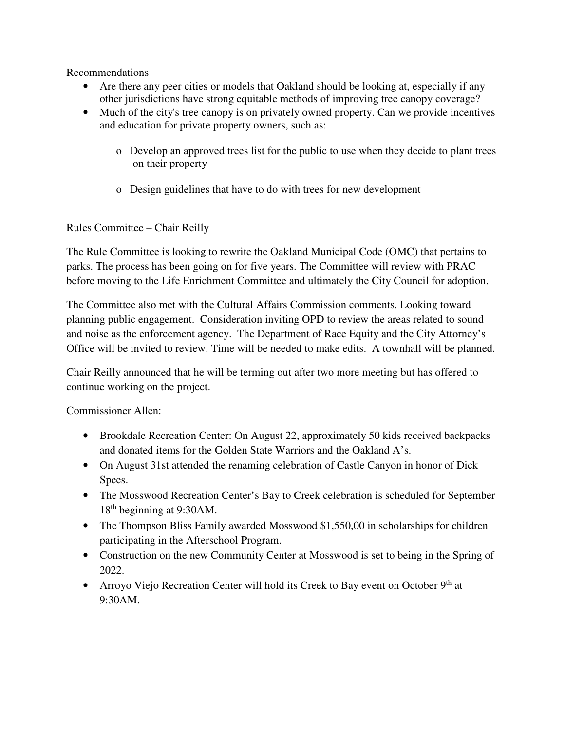Recommendations

- Are there any peer cities or models that Oakland should be looking at, especially if any other jurisdictions have strong equitable methods of improving tree canopy coverage?
- Much of the city's tree canopy is on privately owned property. Can we provide incentives and education for private property owners, such as:
	- o Develop an approved trees list for the public to use when they decide to plant trees on their property
	- o Design guidelines that have to do with trees for new development

## Rules Committee – Chair Reilly

The Rule Committee is looking to rewrite the Oakland Municipal Code (OMC) that pertains to parks. The process has been going on for five years. The Committee will review with PRAC before moving to the Life Enrichment Committee and ultimately the City Council for adoption.

The Committee also met with the Cultural Affairs Commission comments. Looking toward planning public engagement. Consideration inviting OPD to review the areas related to sound and noise as the enforcement agency. The Department of Race Equity and the City Attorney's Office will be invited to review. Time will be needed to make edits. A townhall will be planned.

Chair Reilly announced that he will be terming out after two more meeting but has offered to continue working on the project.

Commissioner Allen:

- Brookdale Recreation Center: On August 22, approximately 50 kids received backpacks and donated items for the Golden State Warriors and the Oakland A's.
- On August 31st attended the renaming celebration of Castle Canyon in honor of Dick Spees.
- The Mosswood Recreation Center's Bay to Creek celebration is scheduled for September 18th beginning at 9:30AM.
- The Thompson Bliss Family awarded Mosswood \$1,550,00 in scholarships for children participating in the Afterschool Program.
- Construction on the new Community Center at Mosswood is set to being in the Spring of 2022.
- Arroyo Viejo Recreation Center will hold its Creek to Bay event on October  $9<sup>th</sup>$  at 9:30AM.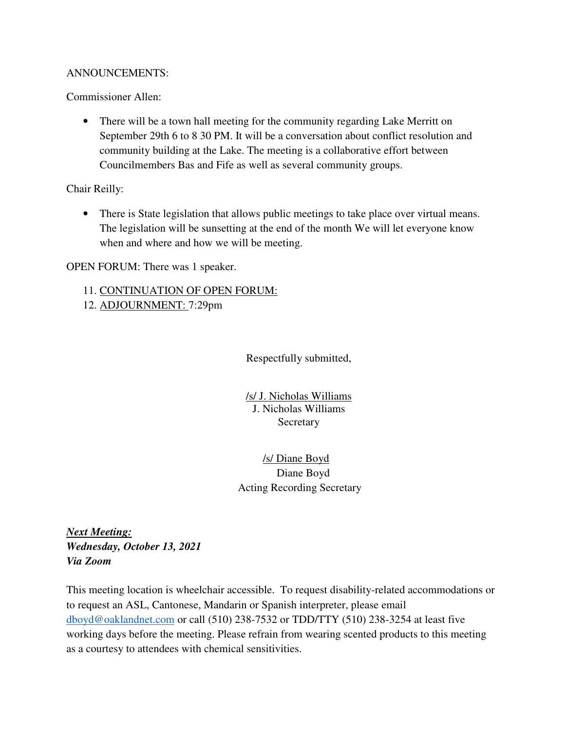#### ANNOUNCEMENTS:

Commissioner Allen:

• There will be a town hall meeting for the community regarding Lake Merritt on September 29th 6 to 8 30 PM. It will be a conversation about conflict resolution and community building at the Lake. The meeting is a collaborative effort between Councilmembers Bas and Fife as well as several community groups.

Chair Reilly:

• There is State legislation that allows public meetings to take place over virtual means. The legislation will be sunsetting at the end of the month We will let everyone know when and where and how we will be meeting.

OPEN FORUM: There was 1 speaker.

- 11. CONTINUATION OF OPEN FORUM:
- 12. ADJOURNMENT: 7:29pm

Respectfully submitted,

/s/ J. Nicholas Williams J. Nicholas Williams **Secretary** 

 /s/ Diane Boyd Diane Boyd Acting Recording Secretary

*Next Meeting: Wednesday, October 13, 2021 Via Zoom* 

This meeting location is wheelchair accessible. To request disability-related accommodations or to request an ASL, Cantonese, Mandarin or Spanish interpreter, please email dboyd@oaklandnet.com or call (510) 238-7532 or TDD/TTY (510) 238-3254 at least five working days before the meeting. Please refrain from wearing scented products to this meeting as a courtesy to attendees with chemical sensitivities.